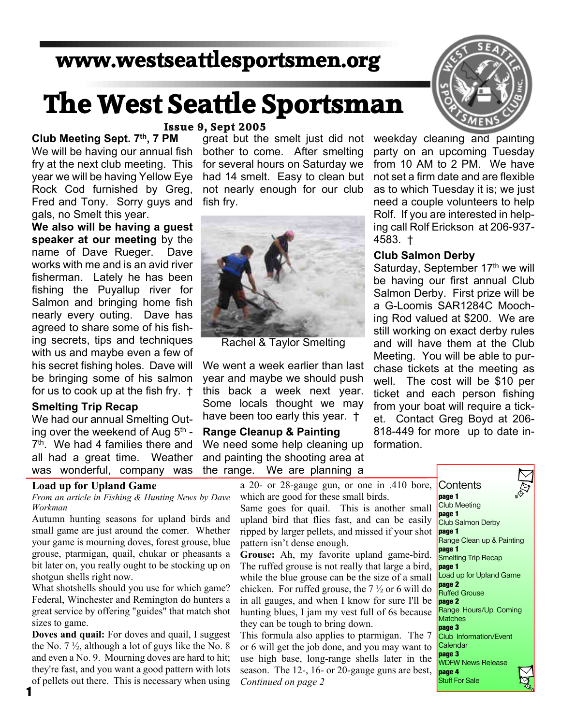# **www.westseattlesportsmen.org**

# **The West Seattle Sportsman**

# **Issue 9, Sept 2005**

**Club Meeting Sept. 7th, 7 PM** We will be having our annual fish fry at the next club meeting. This year we will be having Yellow Eye Rock Cod furnished by Greg, Fred and Tony. Sorry guys and gals, no Smelt this year.

**We also will be having a guest speaker at our meeting** by the name of Dave Rueger. Dave works with me and is an avid river fisherman. Lately he has been fishing the Puyallup river for Salmon and bringing home fish nearly every outing. Dave has agreed to share some of his fishing secrets, tips and techniques with us and maybe even a few of his secret fishing holes. Dave will be bringing some of his salmon for us to cook up at the fish fry. †

## **Smelting Trip Recap**

We had our annual Smelting Outing over the weekend of Aug 5<sup>th</sup> -7 th. We had 4 families there and all had a great time. Weather was wonderful, company was

## **Load up for Upland Game**

**1**

*From an article in Fishing & Hunting News by Dave Workman*

Autumn hunting seasons for upland birds and small game are just around the comer. Whether your game is mourning doves, forest grouse, blue grouse, ptarmigan, quail, chukar or pheasants a bit later on, you really ought to be stocking up on shotgun shells right now.

What shotshells should you use for which game? Federal, Winchester and Remington do hunters a great service by offering "guides" that match shot sizes to game.

**Doves and quail:** For doves and quail, I suggest the No. 7 ½, although a lot of guys like the No. 8 and even a No. 9. Mourning doves are hard to hit; they're fast, and you want a good pattern with lots of pellets out there. This is necessary when using

great but the smelt just did not bother to come. After smelting for several hours on Saturday we had 14 smelt. Easy to clean but not nearly enough for our club fish fry.



Rachel & Taylor Smelting

We went a week earlier than last year and maybe we should push this back a week next year. Some locals thought we may have been too early this year. †

# **Range Cleanup & Painting** We need some help cleaning up and painting the shooting area at the range. We are planning a



weekday cleaning and painting party on an upcoming Tuesday from 10 AM to 2 PM. We have not set a firm date and are flexible as to which Tuesday it is; we just need a couple volunteers to help Rolf. If you are interested in helping call Rolf Erickson at 206-937- 4583. †

### **Club Salmon Derby**

Saturday, September 17<sup>th</sup> we will be having our first annual Club Salmon Derby. First prize will be a G-Loomis SAR1284C Mooching Rod valued at \$200. We are still working on exact derby rules and will have them at the Club Meeting. You will be able to purchase tickets at the meeting as well. The cost will be \$10 per ticket and each person fishing from your boat will require a ticket. Contact Greg Boyd at 206- 818-449 for more up to date information.

a 20- or 28-gauge gun, or one in .410 bore, which are good for these small birds.

Same goes for quail. This is another small upland bird that flies fast, and can be easily ripped by larger pellets, and missed if your shot pattern isn't dense enough.

**Grouse:** Ah, my favorite upland game-bird. The ruffed grouse is not really that large a bird, while the blue grouse can be the size of a small chicken. For ruffed grouse, the 7 ½ or 6 will do in all gauges, and when I know for sure I'll be hunting blues, I jam my vest full of 6s because they can be tough to bring down.

This formula also applies to ptarmigan. The 7 or 6 will get the job done, and you may want to use high base, long-range shells later in the season. The 12-, 16- or 20-gauge guns are best, *Continued on page 2*

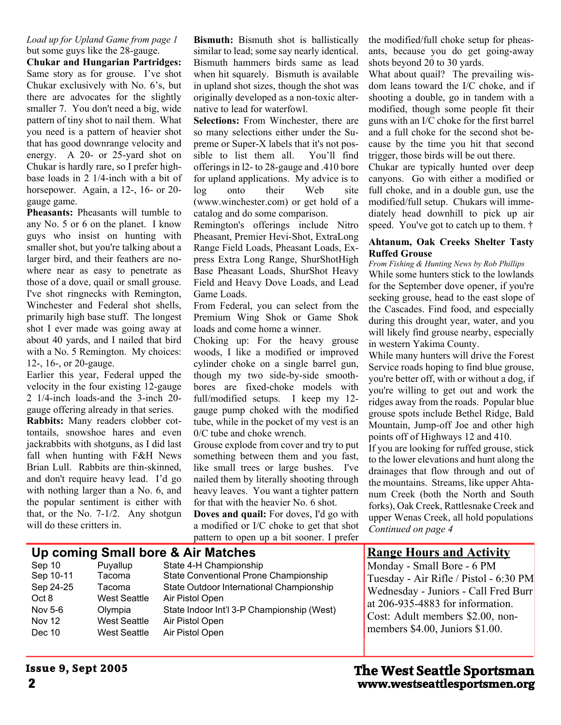### *Load up for Upland Game from page 1* but some guys like the 28-gauge.

**Chukar and Hungarian Partridges:** Same story as for grouse. I've shot Chukar exclusively with No. 6's, but there are advocates for the slightly smaller 7. You don't need a big, wide pattern of tiny shot to nail them. What you need is a pattern of heavier shot that has good downrange velocity and energy. A 20- or 25-yard shot on Chukar is hardly rare, so I prefer highbase loads in 2 1/4-inch with a bit of horsepower. Again, a 12-, 16- or 20gauge game.

**Pheasants:** Pheasants will tumble to any No. 5 or 6 on the planet. I know guys who insist on hunting with smaller shot, but you're talking about a larger bird, and their feathers are nowhere near as easy to penetrate as those of a dove, quail or small grouse. I've shot ringnecks with Remington, Winchester and Federal shot shells, primarily high base stuff. The longest shot I ever made was going away at about 40 yards, and I nailed that bird with a No. 5 Remington. My choices: 12-, 16-, or 20-gauge.

Earlier this year, Federal upped the velocity in the four existing 12-gauge 2 1/4-inch loads-and the 3-inch 20 gauge offering already in that series.

**Rabbits:** Many readers clobber cottontails, snowshoe hares and even jackrabbits with shotguns, as I did last fall when hunting with F&H News Brian Lull. Rabbits are thin-skinned, and don't require heavy lead. I'd go with nothing larger than a No. 6, and the popular sentiment is either with that, or the No. 7-1/2. Any shotgun will do these critters in.

**Bismuth:** Bismuth shot is ballistically similar to lead; some say nearly identical. Bismuth hammers birds same as lead when hit squarely. Bismuth is available in upland shot sizes, though the shot was originally developed as a non-toxic alternative to lead for waterfowl.

**Selections:** From Winchester, there are so many selections either under the Supreme or Super-X labels that it's not possible to list them all. You'll find offerings in l2- to 28-gauge and .410 bore for upland applications. My advice is to log onto their Web site (www.winchester.com) or get hold of a catalog and do some comparison.

Remington's offerings include Nitro Pheasant, Premier Hevi-Shot, ExtraLong Range Field Loads, Pheasant Loads, Express Extra Long Range, ShurShotHigh Base Pheasant Loads, ShurShot Heavy Field and Heavy Dove Loads, and Lead Game Loads.

From Federal, you can select from the Premium Wing Shok or Game Shok loads and come home a winner.

Choking up: For the heavy grouse woods, I like a modified or improved cylinder choke on a single barrel gun, though my two side-by-side smoothbores are fixed-choke models with full/modified setups. I keep my 12 gauge pump choked with the modified tube, while in the pocket of my vest is an 0/C tube and choke wrench.

Grouse explode from cover and try to put something between them and you fast, like small trees or large bushes. I've nailed them by literally shooting through heavy leaves. You want a tighter pattern for that with the heavier No. 6 shot.

**Doves and quail:** For doves, I'd go with a modified or I/C choke to get that shot pattern to open up a bit sooner. I prefer

the modified/full choke setup for pheasants, because you do get going-away shots beyond 20 to 30 yards.

What about quail? The prevailing wisdom leans toward the I/C choke, and if shooting a double, go in tandem with a modified, though some people fit their guns with an I/C choke for the first barrel and a full choke for the second shot because by the time you hit that second trigger, those birds will be out there.

Chukar are typically hunted over deep canyons. Go with either a modified or full choke, and in a double gun, use the modified/full setup. Chukars will immediately head downhill to pick up air speed. You've got to catch up to them. †

## **Ahtanum, Oak Creeks Shelter Tasty Ruffed Grouse**

*From Fishing & Hunting News by Rob Phillips* While some hunters stick to the lowlands for the September dove opener, if you're seeking grouse, head to the east slope of the Cascades. Find food, and especially during this drought year, water, and you will likely find grouse nearby, especially in western Yakima County.

While many hunters will drive the Forest Service roads hoping to find blue grouse, you're better off, with or without a dog, if you're willing to get out and work the ridges away from the roads. Popular blue grouse spots include Bethel Ridge, Bald Mountain, Jump-off Joe and other high points off of Highways 12 and 410.

If you are looking for ruffed grouse, stick to the lower elevations and hunt along the drainages that flow through and out of the mountains. Streams, like upper Ahtanum Creek (both the North and South forks), Oak Creek, Rattlesnake Creek and upper Wenas Creek, all hold populations *Continued on page 4*

# **Up coming Small bore & Air Matches**

Puyallup State 4-H Championship Sep 10-11 Tacoma State Conventional Prone Championship Sep 24-25 Tacoma State Outdoor International Championship Oct 8 West Seattle Air Pistol Open Nov 5-6 Olympia State Indoor Int'l 3-P Championship (West) Nov 12 West Seattle Air Pistol Open Dec 10 West Seattle Air Pistol Open

# **Range Hours and Activity**

Monday - Small Bore - 6 PM Tuesday - Air Rifle / Pistol - 6:30 PM Wednesday - Juniors - Call Fred Burr at 206-935-4883 for information. Cost: Adult members \$2.00, nonmembers \$4.00, Juniors \$1.00.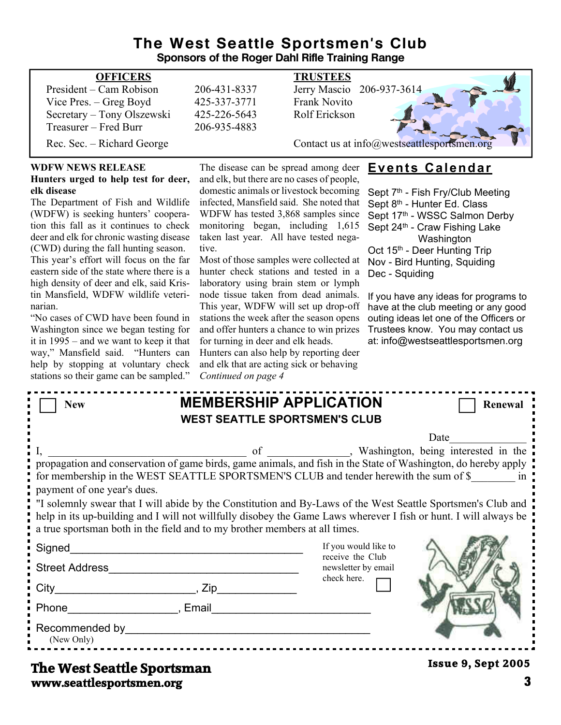# **The West Seattle Sportsmen's Club Sponsors of the Roger Dahl Rifle Training Range**

| <b>OFFICERS</b>            |              | <b>TRUSTEES</b>                             |
|----------------------------|--------------|---------------------------------------------|
| President – Cam Robison    | 206-431-8337 | Jerry Mascio 206-937-3614                   |
| Vice Pres. $-$ Greg Boyd   | 425-337-3771 | Frank Novito                                |
| Secretary - Tony Olszewski | 425-226-5643 | Rolf Erickson                               |
| Treasurer – Fred Burr      | 206-935-4883 |                                             |
| Rec. Sec. – Richard George |              | Contact us at info@westseattlesportsmen.org |

# **WDFW NEWS RELEASE**

#### **Hunters urged to help test for deer, elk disease**

The Department of Fish and Wildlife (WDFW) is seeking hunters' cooperation this fall as it continues to check deer and elk for chronic wasting disease (CWD) during the fall hunting season. This year's effort will focus on the far eastern side of the state where there is a high density of deer and elk, said Kristin Mansfield, WDFW wildlife veterinarian.

"No cases of CWD have been found in Washington since we began testing for it in 1995 – and we want to keep it that way," Mansfield said. "Hunters can help by stopping at voluntary check stations so their game can be sampled."

The disease can be spread among deer **Events Calendar** and elk, but there are no cases of people, domestic animals or livestock becoming infected, Mansfield said. She noted that WDFW has tested 3,868 samples since monitoring began, including 1,615 taken last year. All have tested negative.

Most of those samples were collected at hunter check stations and tested in a laboratory using brain stem or lymph node tissue taken from dead animals. This year, WDFW will set up drop-off stations the week after the season opens and offer hunters a chance to win prizes for turning in deer and elk heads.

Hunters can also help by reporting deer and elk that are acting sick or behaving *Continued on page 4*

Sept 7<sup>th</sup> - Fish Fry/Club Meeting Sept 8<sup>th</sup> - Hunter Ed. Class Sept 17th - WSSC Salmon Derby Sept 24<sup>th</sup> - Craw Fishing Lake Washington Oct 15<sup>th</sup> - Deer Hunting Trip Nov - Bird Hunting, Squiding Dec - Squiding

If you have any ideas for programs to have at the club meeting or any good outing ideas let one of the Officers or Trustees know. You may contact us at: info@westseattlesportsmen.org

| <b>New</b>                                                                                                                                                                                                                                                                                                                                                                                                                                           |                                         | <b>MEMBERSHIP APPLICATION</b><br><b>WEST SEATTLE SPORTSMEN'S CLUB</b>          | Renewal                   |  |  |
|------------------------------------------------------------------------------------------------------------------------------------------------------------------------------------------------------------------------------------------------------------------------------------------------------------------------------------------------------------------------------------------------------------------------------------------------------|-----------------------------------------|--------------------------------------------------------------------------------|---------------------------|--|--|
| Date<br>for membership in the WEST SEATTLE SPORTSMEN'S CLUB and tender herewith the sum of \$<br>in<br>payment of one year's dues.<br>If solemnly swear that I will abide by the Constitution and By-Laws of the West Seattle Sportsmen's Club and<br>help in its up-building and I will not willfully disobey the Game Laws wherever I fish or hunt. I will always be<br>a true sportsman both in the field and to my brother members at all times. |                                         |                                                                                |                           |  |  |
| <b>Street Address</b>                                                                                                                                                                                                                                                                                                                                                                                                                                | <u> 1989 - Johann Barbara, martxa a</u> | If you would like to<br>receive the Club<br>newsletter by email<br>check here. |                           |  |  |
| Phone <b>Figure 1, Final</b> , Email<br>Recommended by example and the state of the state of the state of the state of the state of the state of the state of the state of the state of the state of the state of the state of the state of the state of the state of<br>(New Only)                                                                                                                                                                  |                                         |                                                                                |                           |  |  |
| The West Seattle Snortsman                                                                                                                                                                                                                                                                                                                                                                                                                           |                                         |                                                                                | <b>Issue 9, Sept 2005</b> |  |  |

# **www.seattlesportsmen.org 3 The West Seattle Sportsman**